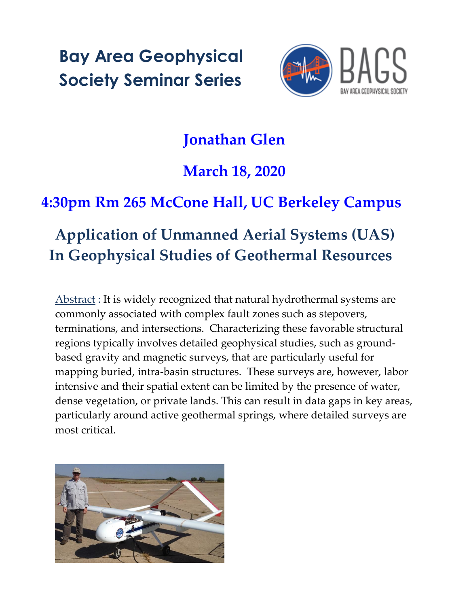**Bay Area Geophysical Society Seminar Series**



## **Jonathan Glen**

## **March 18, 2020**

## **4:30pm Rm 265 McCone Hall, UC Berkeley Campus**

## **Application of Unmanned Aerial Systems (UAS) In Geophysical Studies of Geothermal Resources**

Abstract : It is widely recognized that natural hydrothermal systems are commonly associated with complex fault zones such as stepovers, terminations, and intersections. Characterizing these favorable structural regions typically involves detailed geophysical studies, such as groundbased gravity and magnetic surveys, that are particularly useful for mapping buried, intra-basin structures. These surveys are, however, labor intensive and their spatial extent can be limited by the presence of water, dense vegetation, or private lands. This can result in data gaps in key areas, particularly around active geothermal springs, where detailed surveys are most critical.